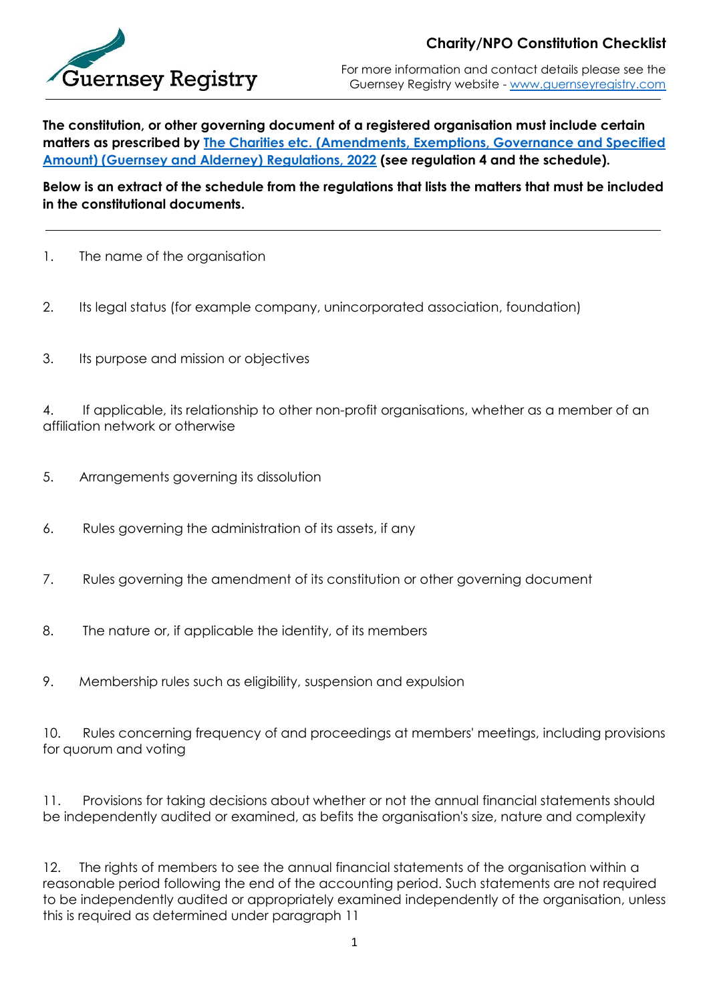

For more information and contact details please see the Guernsey Registry website - [www.guernseyregistry.com](http://www.guernseyregistry.com/)

**The constitution, or other governing document of a registered organisation must include certain matters as prescribed by [The Charities etc. \(Amendments, Exemptions, Governance and Specified](https://www.guernseylegalresources.gg/statutory-instruments/guernsey-bailiwick/2022/no-31-the-charities-etc-amendments-exemptions-governance-and-specified-amount-guernsey-and-alderney-regulations-2022/)  [Amount\) \(Guernsey and Alderney\) Regulations, 2022](https://www.guernseylegalresources.gg/statutory-instruments/guernsey-bailiwick/2022/no-31-the-charities-etc-amendments-exemptions-governance-and-specified-amount-guernsey-and-alderney-regulations-2022/) (see regulation 4 and the schedule).**

**Below is an extract of the schedule from the regulations that lists the matters that must be included in the constitutional documents.**

- 1. The name of the organisation
- 2. Its legal status (for example company, unincorporated association, foundation)
- 3. Its purpose and mission or objectives

4. If applicable, its relationship to other non-profit organisations, whether as a member of an affiliation network or otherwise

- 5. Arrangements governing its dissolution
- 6. Rules governing the administration of its assets, if any
- 7. Rules governing the amendment of its constitution or other governing document
- 8. The nature or, if applicable the identity, of its members
- 9. Membership rules such as eligibility, suspension and expulsion

10. Rules concerning frequency of and proceedings at members' meetings, including provisions for quorum and voting

11. Provisions for taking decisions about whether or not the annual financial statements should be independently audited or examined, as befits the organisation's size, nature and complexity

12. The rights of members to see the annual financial statements of the organisation within a reasonable period following the end of the accounting period. Such statements are not required to be independently audited or appropriately examined independently of the organisation, unless this is required as determined under paragraph 11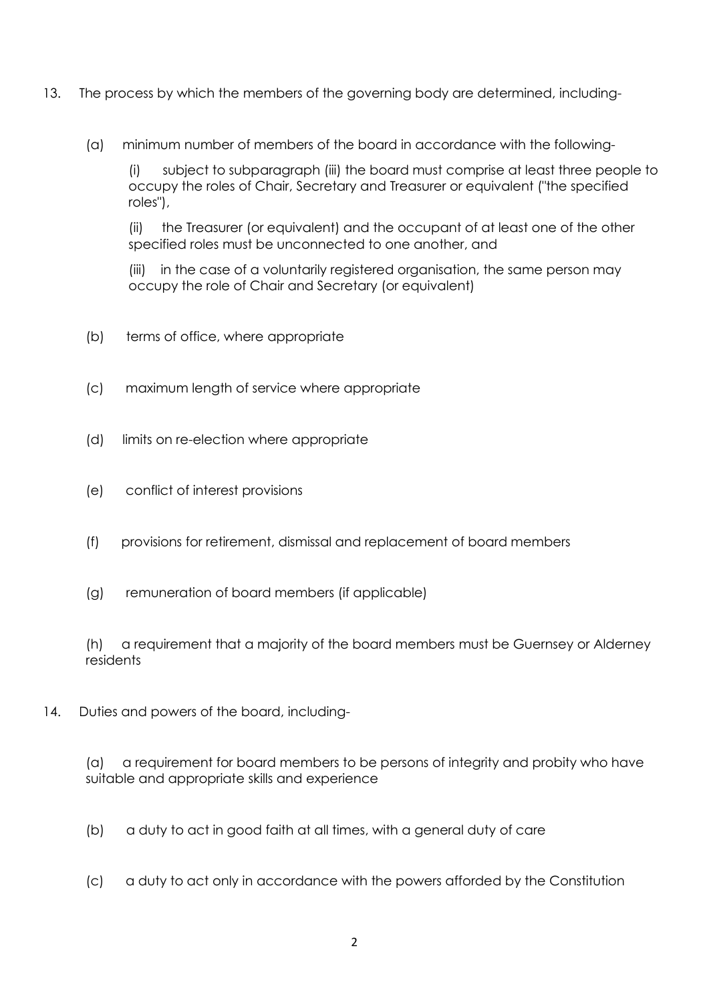- 13. The process by which the members of the governing body are determined, including-
	- (a) minimum number of members of the board in accordance with the following-

(i) subject to subparagraph (iii) the board must comprise at least three people to occupy the roles of Chair, Secretary and Treasurer or equivalent ("the specified roles"),

(ii) the Treasurer (or equivalent) and the occupant of at least one of the other specified roles must be unconnected to one another, and

(iii) in the case of a voluntarily registered organisation, the same person may occupy the role of Chair and Secretary (or equivalent)

- (b) terms of office, where appropriate
- (c) maximum length of service where appropriate
- (d) limits on re-election where appropriate
- (e) conflict of interest provisions
- (f) provisions for retirement, dismissal and replacement of board members
- (g) remuneration of board members (if applicable)

(h) a requirement that a majority of the board members must be Guernsey or Alderney residents

14. Duties and powers of the board, including-

(a) a requirement for board members to be persons of integrity and probity who have suitable and appropriate skills and experience

- (b) a duty to act in good faith at all times, with a general duty of care
- (c) a duty to act only in accordance with the powers afforded by the Constitution